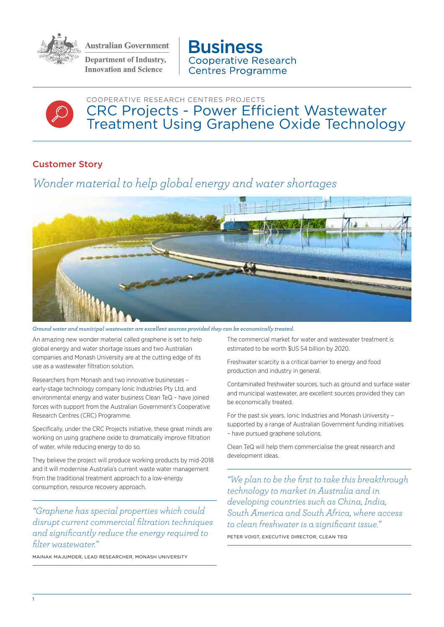

**Australian Government** 

**Department of Industry, Innovation and Science** 

**Business Cooperative Research Centres Programme** 



COOPERATIVE RESEARCH CENTRES PROJECTS CRC Projects - Power Efficient Wastewater Treatment Using Graphene Oxide Technology

## Customer Story

## *Wonder material to help global energy and water shortages*



*Ground water and municipal wastewater are excellent sources provided they can be economically treated.*

An amazing new wonder material called graphene is set to help global energy and water shortage issues and two Australian companies and Monash University are at the cutting edge of its use as a wastewater filtration solution.

Researchers from Monash and two innovative businesses – early-stage technology company Ionic Industries Pty Ltd, and environmental energy and water business Clean TeQ – have joined forces with support from the Australian Government's Cooperative Research Centres (CRC) Programme.

Specifically, under the CRC Projects initiative, these great minds are working on using graphene oxide to dramatically improve filtration of water, while reducing energy to do so.

They believe the project will produce working products by mid-2018 and it will modernise Australia's current waste water management from the traditional treatment approach to a low-energy consumption, resource recovery approach.

*"Graphene has special properties which could disrupt current commercial filtration techniques and significantly reduce the energy required to filter wastewater."*

MAINAK MAJUMDER, LEAD RESEARCHER, MONASH UNIVERSITY

The commercial market for water and wastewater treatment is estimated to be worth \$US 54 billion by 2020.

Freshwater scarcity is a critical barrier to energy and food production and industry in general.

Contaminated freshwater sources, such as ground and surface water and municipal wastewater, are excellent sources provided they can be economically treated.

For the past six years, Ionic Industries and Monash University – supported by a range of Australian Government funding initiatives – have pursued graphene solutions.

Clean TeQ will help them commercialise the great research and development ideas.

*"We plan to be the first to take this breakthrough technology to market in Australia and in developing countries such as China, India, South America and South Africa, where access to clean freshwater is a significant issue."* PETER VOIGT, EXECUTIVE DIRECTOR, CLEAN TEQ